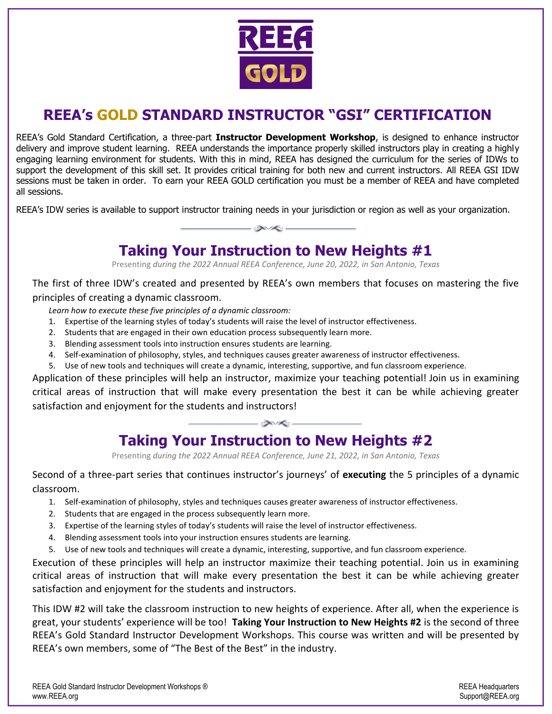

# **REEA's GOLD STANDARD INSTRUCTOR "GSI" CERTIFICATION**

REEA's Gold Standard Certification, a three-part **Instructor Development Workshop**, is designed to enhance instructor delivery and improve student learning. REEA understands the importance properly skilled instructors play in creating a highly engaging learning environment for students. With this in mind, REEA has designed the curriculum for the series of IDWs to support the development of this skill set. It provides critical training for both new and current instructors. All REEA GSI IDW sessions must be taken in order. To earn your REEA GOLD certification you must be a member of REEA and have completed all sessions.

REEA's IDW series is available to support instructor training needs in your jurisdiction or region as well as your organization.

 $\bigotimes$ 

### **Taking Your Instruction to New Heights #1**

Presenting *during the 2022 Annual REEA Conference, June 20, 2022, in San Antonio, Texas*

The first of three IDW's created and presented by REEA's own members that focuses on mastering the five principles of creating a dynamic classroom.

- *Learn how to execute these five principles of a dynamic classroom:*
- 1. Expertise of the learning styles of today's students will raise the level of instructor effectiveness.
- 2. Students that are engaged in their own education process subsequently learn more.
- 3. Blending assessment tools into instruction ensures students are learning.
- 4. Self-examination of philosophy, styles, and techniques causes greater awareness of instructor effectiveness.
- 5. Use of new tools and techniques will create a dynamic, interesting, supportive, and fun classroom experience.

Application of these principles will help an instructor, maximize your teaching potential! Join us in examining critical areas of instruction that will make every presentation the best it can be while achieving greater satisfaction and enjoyment for the students and instructors!

 $-\bigcirc\bigcirc\bigcirc\bigcirc$ 

# **Taking Your Instruction to New Heights #2**

Presenting *during the 2022 Annual REEA Conference, June 21, 2022, in San Antonio, Texas*

Second of a three-part series that continues instructor's journeys' of **executing** the 5 principles of a dynamic classroom.

- 1. Self-examination of philosophy, styles and techniques causes greater awareness of instructor effectiveness.
- 2. Students that are engaged in the process subsequently learn more.
- 3. Expertise of the learning styles of today's students will raise the level of instructor effectiveness.
- 4. Blending assessment tools into your instruction ensures students are learning.
- 5. Use of new tools and techniques will create a dynamic, interesting, supportive, and fun classroom experience.

Execution of these principles will help an instructor maximize their teaching potential. Join us in examining critical areas of instruction that will make every presentation the best it can be while achieving greater satisfaction and enjoyment for the students and instructors.

This IDW #2 will take the classroom instruction to new heights of experience. After all, when the experience is great, your students' experience will be too! **Taking Your Instruction to New Heights #2** is the second of three REEA's Gold Standard Instructor Development Workshops. This course was written and will be presented by REEA's own members, some of "The Best of the Best" in the industry.